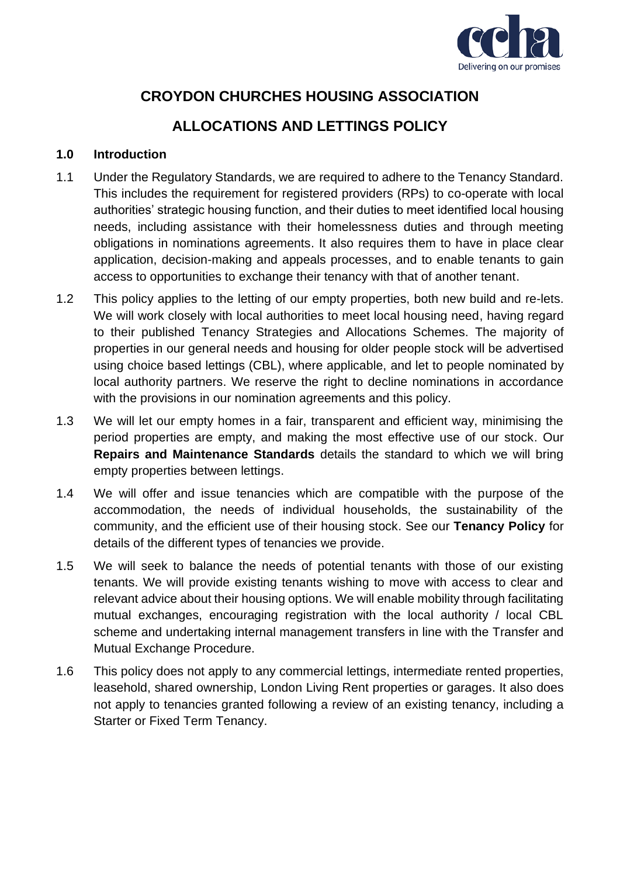

# **CROYDON CHURCHES HOUSING ASSOCIATION**

# **ALLOCATIONS AND LETTINGS POLICY**

## **1.0 Introduction**

- 1.1 Under the Regulatory Standards, we are required to adhere to the Tenancy Standard. This includes the requirement for registered providers (RPs) to co-operate with local authorities' strategic housing function, and their duties to meet identified local housing needs, including assistance with their homelessness duties and through meeting obligations in nominations agreements. It also requires them to have in place clear application, decision-making and appeals processes, and to enable tenants to gain access to opportunities to exchange their tenancy with that of another tenant.
- 1.2 This policy applies to the letting of our empty properties, both new build and re-lets. We will work closely with local authorities to meet local housing need, having regard to their published Tenancy Strategies and Allocations Schemes. The majority of properties in our general needs and housing for older people stock will be advertised using choice based lettings (CBL), where applicable, and let to people nominated by local authority partners. We reserve the right to decline nominations in accordance with the provisions in our nomination agreements and this policy.
- 1.3 We will let our empty homes in a fair, transparent and efficient way, minimising the period properties are empty, and making the most effective use of our stock. Our **Repairs and Maintenance Standards** details the standard to which we will bring empty properties between lettings.
- 1.4 We will offer and issue tenancies which are compatible with the purpose of the accommodation, the needs of individual households, the sustainability of the community, and the efficient use of their housing stock. See our **Tenancy Policy** for details of the different types of tenancies we provide.
- 1.5 We will seek to balance the needs of potential tenants with those of our existing tenants. We will provide existing tenants wishing to move with access to clear and relevant advice about their housing options. We will enable mobility through facilitating mutual exchanges, encouraging registration with the local authority / local CBL scheme and undertaking internal management transfers in line with the Transfer and Mutual Exchange Procedure.
- 1.6 This policy does not apply to any commercial lettings, intermediate rented properties, leasehold, shared ownership, London Living Rent properties or garages. It also does not apply to tenancies granted following a review of an existing tenancy, including a Starter or Fixed Term Tenancy.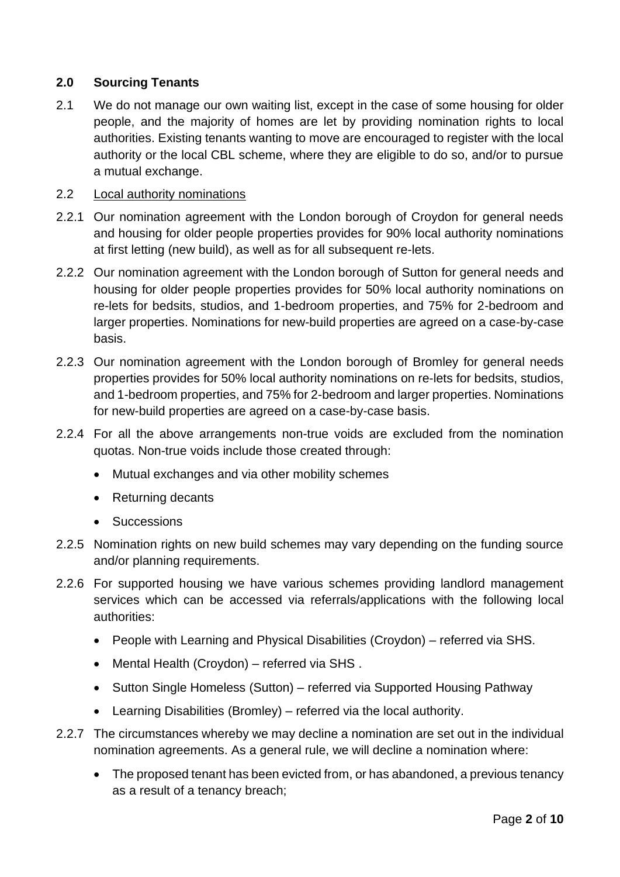## **2.0 Sourcing Tenants**

2.1 We do not manage our own waiting list, except in the case of some housing for older people, and the majority of homes are let by providing nomination rights to local authorities. Existing tenants wanting to move are encouraged to register with the local authority or the local CBL scheme, where they are eligible to do so, and/or to pursue a mutual exchange.

## 2.2 Local authority nominations

- 2.2.1 Our nomination agreement with the London borough of Croydon for general needs and housing for older people properties provides for 90% local authority nominations at first letting (new build), as well as for all subsequent re-lets.
- 2.2.2 Our nomination agreement with the London borough of Sutton for general needs and housing for older people properties provides for 50% local authority nominations on re-lets for bedsits, studios, and 1-bedroom properties, and 75% for 2-bedroom and larger properties. Nominations for new-build properties are agreed on a case-by-case basis.
- 2.2.3 Our nomination agreement with the London borough of Bromley for general needs properties provides for 50% local authority nominations on re-lets for bedsits, studios, and 1-bedroom properties, and 75% for 2-bedroom and larger properties. Nominations for new-build properties are agreed on a case-by-case basis.
- 2.2.4 For all the above arrangements non-true voids are excluded from the nomination quotas. Non-true voids include those created through:
	- Mutual exchanges and via other mobility schemes
	- Returning decants
	- Successions
- 2.2.5 Nomination rights on new build schemes may vary depending on the funding source and/or planning requirements.
- 2.2.6 For supported housing we have various schemes providing landlord management services which can be accessed via referrals/applications with the following local authorities:
	- People with Learning and Physical Disabilities (Croydon) referred via SHS.
	- Mental Health (Croydon) referred via SHS .
	- Sutton Single Homeless (Sutton) referred via Supported Housing Pathway
	- Learning Disabilities (Bromley) referred via the local authority.
- 2.2.7 The circumstances whereby we may decline a nomination are set out in the individual nomination agreements. As a general rule, we will decline a nomination where:
	- The proposed tenant has been evicted from, or has abandoned, a previous tenancy as a result of a tenancy breach;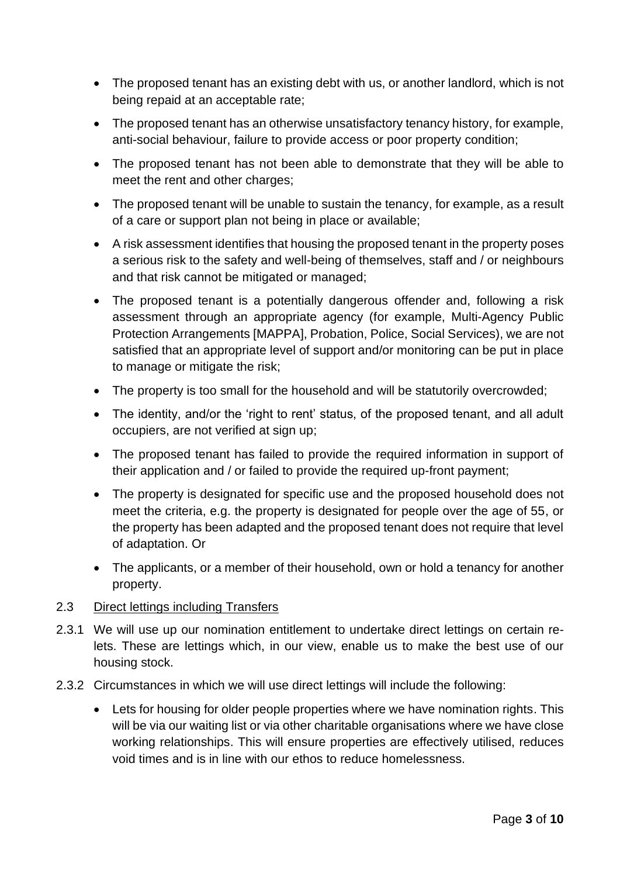- The proposed tenant has an existing debt with us, or another landlord, which is not being repaid at an acceptable rate;
- The proposed tenant has an otherwise unsatisfactory tenancy history, for example, anti-social behaviour, failure to provide access or poor property condition;
- The proposed tenant has not been able to demonstrate that they will be able to meet the rent and other charges;
- The proposed tenant will be unable to sustain the tenancy, for example, as a result of a care or support plan not being in place or available;
- A risk assessment identifies that housing the proposed tenant in the property poses a serious risk to the safety and well-being of themselves, staff and / or neighbours and that risk cannot be mitigated or managed;
- The proposed tenant is a potentially dangerous offender and, following a risk assessment through an appropriate agency (for example, Multi-Agency Public Protection Arrangements [MAPPA], Probation, Police, Social Services), we are not satisfied that an appropriate level of support and/or monitoring can be put in place to manage or mitigate the risk;
- The property is too small for the household and will be statutorily overcrowded;
- The identity, and/or the 'right to rent' status, of the proposed tenant, and all adult occupiers, are not verified at sign up;
- The proposed tenant has failed to provide the required information in support of their application and / or failed to provide the required up-front payment;
- The property is designated for specific use and the proposed household does not meet the criteria, e.g. the property is designated for people over the age of 55, or the property has been adapted and the proposed tenant does not require that level of adaptation. Or
- The applicants, or a member of their household, own or hold a tenancy for another property.

### 2.3 Direct lettings including Transfers

- 2.3.1 We will use up our nomination entitlement to undertake direct lettings on certain relets. These are lettings which, in our view, enable us to make the best use of our housing stock.
- 2.3.2 Circumstances in which we will use direct lettings will include the following:
	- Lets for housing for older people properties where we have nomination rights. This will be via our waiting list or via other charitable organisations where we have close working relationships. This will ensure properties are effectively utilised, reduces void times and is in line with our ethos to reduce homelessness.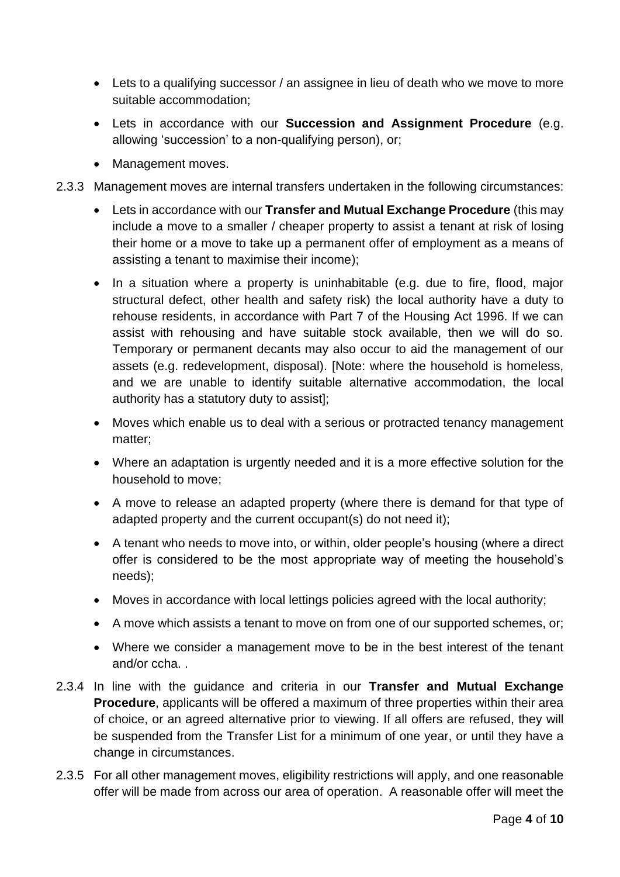- Lets to a qualifying successor / an assignee in lieu of death who we move to more suitable accommodation;
- Lets in accordance with our **Succession and Assignment Procedure** (e.g. allowing 'succession' to a non-qualifying person), or;
- Management moves.
- 2.3.3 Management moves are internal transfers undertaken in the following circumstances:
	- Lets in accordance with our **Transfer and Mutual Exchange Procedure** (this may include a move to a smaller / cheaper property to assist a tenant at risk of losing their home or a move to take up a permanent offer of employment as a means of assisting a tenant to maximise their income);
	- In a situation where a property is uninhabitable (e.g. due to fire, flood, major structural defect, other health and safety risk) the local authority have a duty to rehouse residents, in accordance with Part 7 of the Housing Act 1996. If we can assist with rehousing and have suitable stock available, then we will do so. Temporary or permanent decants may also occur to aid the management of our assets (e.g. redevelopment, disposal). [Note: where the household is homeless, and we are unable to identify suitable alternative accommodation, the local authority has a statutory duty to assist];
	- Moves which enable us to deal with a serious or protracted tenancy management matter;
	- Where an adaptation is urgently needed and it is a more effective solution for the household to move;
	- A move to release an adapted property (where there is demand for that type of adapted property and the current occupant(s) do not need it);
	- A tenant who needs to move into, or within, older people's housing (where a direct offer is considered to be the most appropriate way of meeting the household's needs);
	- Moves in accordance with local lettings policies agreed with the local authority;
	- A move which assists a tenant to move on from one of our supported schemes, or;
	- Where we consider a management move to be in the best interest of the tenant and/or ccha. .
- 2.3.4 In line with the guidance and criteria in our **Transfer and Mutual Exchange Procedure**, applicants will be offered a maximum of three properties within their area of choice, or an agreed alternative prior to viewing. If all offers are refused, they will be suspended from the Transfer List for a minimum of one year, or until they have a change in circumstances.
- 2.3.5 For all other management moves, eligibility restrictions will apply, and one reasonable offer will be made from across our area of operation. A reasonable offer will meet the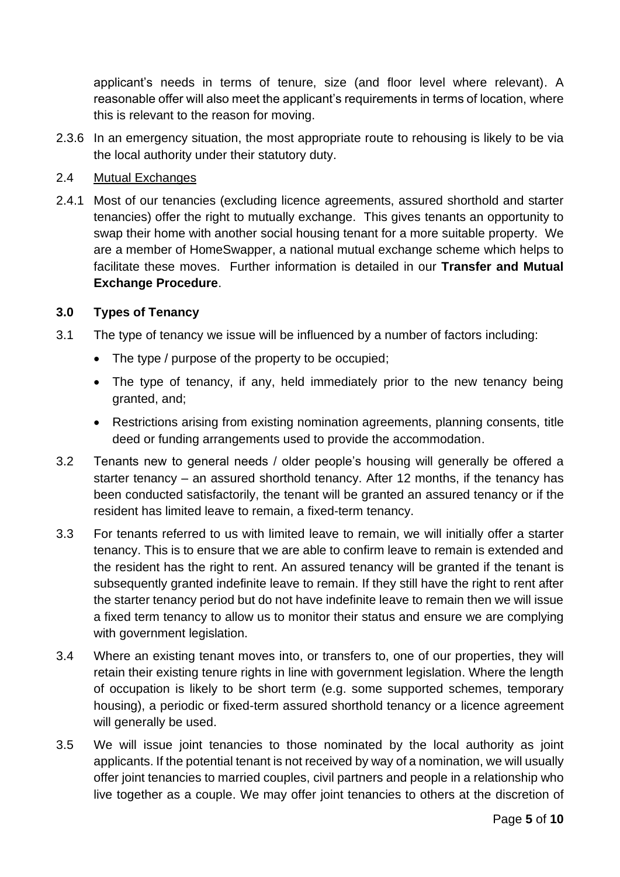applicant's needs in terms of tenure, size (and floor level where relevant). A reasonable offer will also meet the applicant's requirements in terms of location, where this is relevant to the reason for moving.

2.3.6 In an emergency situation, the most appropriate route to rehousing is likely to be via the local authority under their statutory duty.

## 2.4 Mutual Exchanges

2.4.1 Most of our tenancies (excluding licence agreements, assured shorthold and starter tenancies) offer the right to mutually exchange. This gives tenants an opportunity to swap their home with another social housing tenant for a more suitable property. We are a member of HomeSwapper, a national mutual exchange scheme which helps to facilitate these moves. Further information is detailed in our **Transfer and Mutual Exchange Procedure**.

## **3.0 Types of Tenancy**

- 3.1 The type of tenancy we issue will be influenced by a number of factors including:
	- The type / purpose of the property to be occupied;
	- The type of tenancy, if any, held immediately prior to the new tenancy being granted, and;
	- Restrictions arising from existing nomination agreements, planning consents, title deed or funding arrangements used to provide the accommodation.
- 3.2 Tenants new to general needs / older people's housing will generally be offered a starter tenancy – an assured shorthold tenancy. After 12 months, if the tenancy has been conducted satisfactorily, the tenant will be granted an assured tenancy or if the resident has limited leave to remain, a fixed-term tenancy.
- 3.3 For tenants referred to us with limited leave to remain, we will initially offer a starter tenancy. This is to ensure that we are able to confirm leave to remain is extended and the resident has the right to rent. An assured tenancy will be granted if the tenant is subsequently granted indefinite leave to remain. If they still have the right to rent after the starter tenancy period but do not have indefinite leave to remain then we will issue a fixed term tenancy to allow us to monitor their status and ensure we are complying with government legislation.
- 3.4 Where an existing tenant moves into, or transfers to, one of our properties, they will retain their existing tenure rights in line with government legislation. Where the length of occupation is likely to be short term (e.g. some supported schemes, temporary housing), a periodic or fixed-term assured shorthold tenancy or a licence agreement will generally be used.
- 3.5 We will issue joint tenancies to those nominated by the local authority as joint applicants. If the potential tenant is not received by way of a nomination, we will usually offer joint tenancies to married couples, civil partners and people in a relationship who live together as a couple. We may offer joint tenancies to others at the discretion of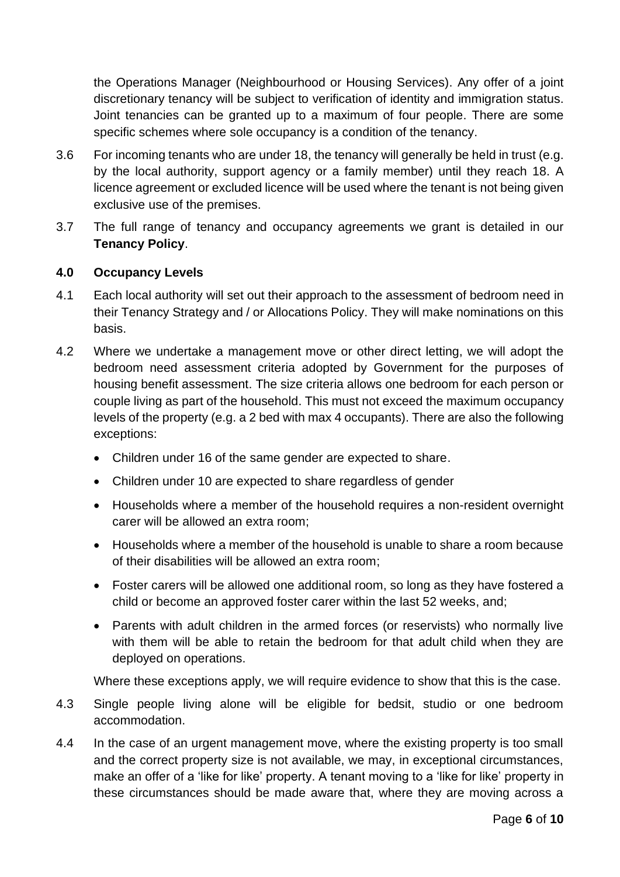the Operations Manager (Neighbourhood or Housing Services). Any offer of a joint discretionary tenancy will be subject to verification of identity and immigration status. Joint tenancies can be granted up to a maximum of four people. There are some specific schemes where sole occupancy is a condition of the tenancy.

- 3.6 For incoming tenants who are under 18, the tenancy will generally be held in trust (e.g. by the local authority, support agency or a family member) until they reach 18. A licence agreement or excluded licence will be used where the tenant is not being given exclusive use of the premises.
- 3.7 The full range of tenancy and occupancy agreements we grant is detailed in our **Tenancy Policy**.

### **4.0 Occupancy Levels**

- 4.1 Each local authority will set out their approach to the assessment of bedroom need in their Tenancy Strategy and / or Allocations Policy. They will make nominations on this basis.
- 4.2 Where we undertake a management move or other direct letting, we will adopt the bedroom need assessment criteria adopted by Government for the purposes of housing benefit assessment. The size criteria allows one bedroom for each person or couple living as part of the household. This must not exceed the maximum occupancy levels of the property (e.g. a 2 bed with max 4 occupants). There are also the following exceptions:
	- Children under 16 of the same gender are expected to share.
	- Children under 10 are expected to share regardless of gender
	- Households where a member of the household requires a non-resident overnight carer will be allowed an extra room;
	- Households where a member of the household is unable to share a room because of their disabilities will be allowed an extra room;
	- Foster carers will be allowed one additional room, so long as they have fostered a child or become an approved foster carer within the last 52 weeks, and;
	- Parents with adult children in the armed forces (or reservists) who normally live with them will be able to retain the bedroom for that adult child when they are deployed on operations.

Where these exceptions apply, we will require evidence to show that this is the case.

- 4.3 Single people living alone will be eligible for bedsit, studio or one bedroom accommodation.
- 4.4 In the case of an urgent management move, where the existing property is too small and the correct property size is not available, we may, in exceptional circumstances, make an offer of a 'like for like' property. A tenant moving to a 'like for like' property in these circumstances should be made aware that, where they are moving across a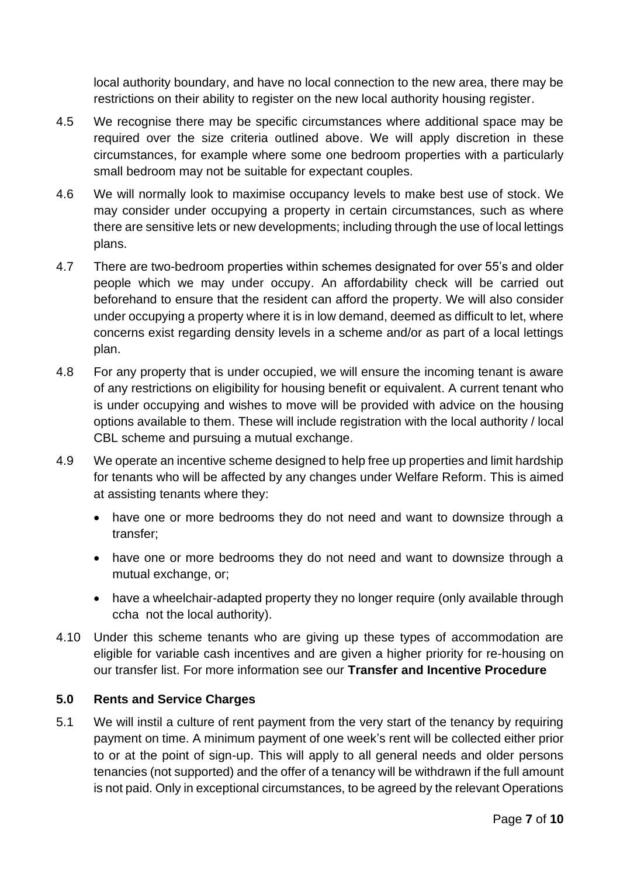local authority boundary, and have no local connection to the new area, there may be restrictions on their ability to register on the new local authority housing register.

- 4.5 We recognise there may be specific circumstances where additional space may be required over the size criteria outlined above. We will apply discretion in these circumstances, for example where some one bedroom properties with a particularly small bedroom may not be suitable for expectant couples.
- 4.6 We will normally look to maximise occupancy levels to make best use of stock. We may consider under occupying a property in certain circumstances, such as where there are sensitive lets or new developments; including through the use of local lettings plans.
- 4.7 There are two-bedroom properties within schemes designated for over 55's and older people which we may under occupy. An affordability check will be carried out beforehand to ensure that the resident can afford the property. We will also consider under occupying a property where it is in low demand, deemed as difficult to let, where concerns exist regarding density levels in a scheme and/or as part of a local lettings plan.
- 4.8 For any property that is under occupied, we will ensure the incoming tenant is aware of any restrictions on eligibility for housing benefit or equivalent. A current tenant who is under occupying and wishes to move will be provided with advice on the housing options available to them. These will include registration with the local authority / local CBL scheme and pursuing a mutual exchange.
- 4.9 We operate an incentive scheme designed to help free up properties and limit hardship for tenants who will be affected by any changes under Welfare Reform. This is aimed at assisting tenants where they:
	- have one or more bedrooms they do not need and want to downsize through a transfer;
	- have one or more bedrooms they do not need and want to downsize through a mutual exchange, or;
	- have a wheelchair-adapted property they no longer require (only available through ccha not the local authority).
- 4.10 Under this scheme tenants who are giving up these types of accommodation are eligible for variable cash incentives and are given a higher priority for re-housing on our transfer list. For more information see our **Transfer and Incentive Procedure**

### **5.0 Rents and Service Charges**

5.1 We will instil a culture of rent payment from the very start of the tenancy by requiring payment on time. A minimum payment of one week's rent will be collected either prior to or at the point of sign-up. This will apply to all general needs and older persons tenancies (not supported) and the offer of a tenancy will be withdrawn if the full amount is not paid. Only in exceptional circumstances, to be agreed by the relevant Operations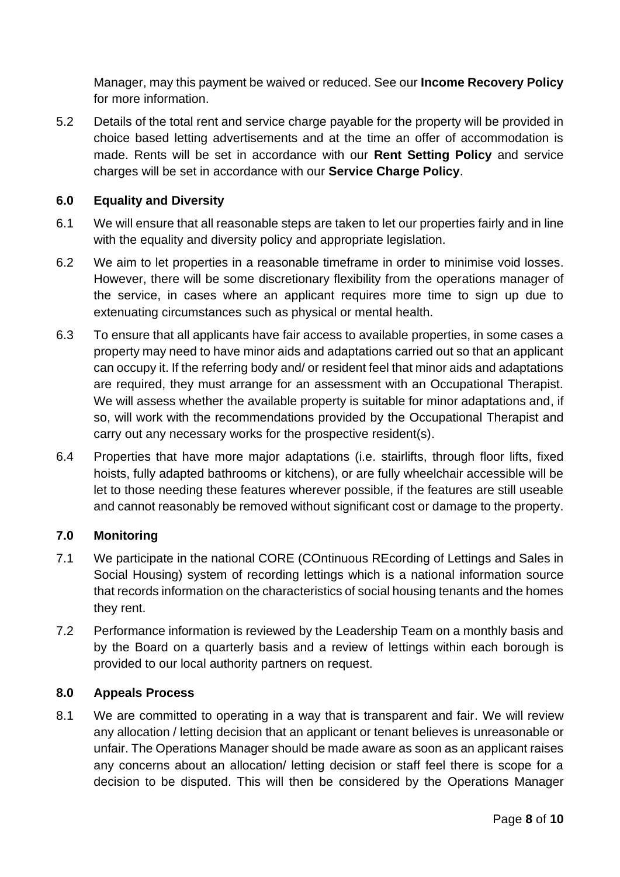Manager, may this payment be waived or reduced. See our **Income Recovery Policy** for more information.

5.2 Details of the total rent and service charge payable for the property will be provided in choice based letting advertisements and at the time an offer of accommodation is made. Rents will be set in accordance with our **Rent Setting Policy** and service charges will be set in accordance with our **Service Charge Policy**.

## **6.0 Equality and Diversity**

- 6.1 We will ensure that all reasonable steps are taken to let our properties fairly and in line with the equality and diversity policy and appropriate legislation.
- 6.2 We aim to let properties in a reasonable timeframe in order to minimise void losses. However, there will be some discretionary flexibility from the operations manager of the service, in cases where an applicant requires more time to sign up due to extenuating circumstances such as physical or mental health.
- 6.3 To ensure that all applicants have fair access to available properties, in some cases a property may need to have minor aids and adaptations carried out so that an applicant can occupy it. If the referring body and/ or resident feel that minor aids and adaptations are required, they must arrange for an assessment with an Occupational Therapist. We will assess whether the available property is suitable for minor adaptations and, if so, will work with the recommendations provided by the Occupational Therapist and carry out any necessary works for the prospective resident(s).
- 6.4 Properties that have more major adaptations (i.e. stairlifts, through floor lifts, fixed hoists, fully adapted bathrooms or kitchens), or are fully wheelchair accessible will be let to those needing these features wherever possible, if the features are still useable and cannot reasonably be removed without significant cost or damage to the property.

### **7.0 Monitoring**

- 7.1 We participate in the national CORE (COntinuous REcording of Lettings and Sales in Social Housing) system of recording lettings which is a national information source that records information on the characteristics of social housing tenants and the homes they rent.
- 7.2 Performance information is reviewed by the Leadership Team on a monthly basis and by the Board on a quarterly basis and a review of lettings within each borough is provided to our local authority partners on request.

### **8.0 Appeals Process**

8.1 We are committed to operating in a way that is transparent and fair. We will review any allocation / letting decision that an applicant or tenant believes is unreasonable or unfair. The Operations Manager should be made aware as soon as an applicant raises any concerns about an allocation/ letting decision or staff feel there is scope for a decision to be disputed. This will then be considered by the Operations Manager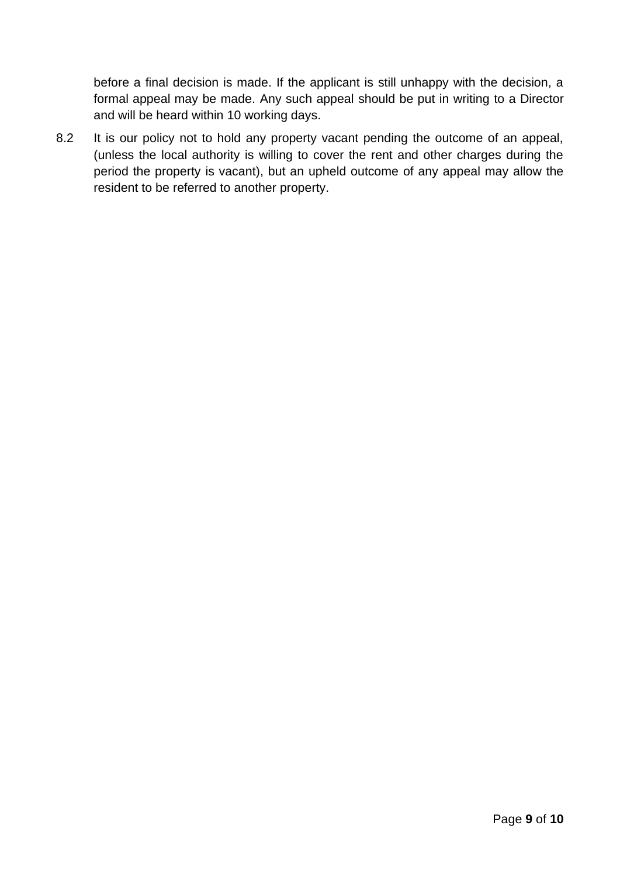before a final decision is made. If the applicant is still unhappy with the decision, a formal appeal may be made. Any such appeal should be put in writing to a Director and will be heard within 10 working days.

8.2 It is our policy not to hold any property vacant pending the outcome of an appeal, (unless the local authority is willing to cover the rent and other charges during the period the property is vacant), but an upheld outcome of any appeal may allow the resident to be referred to another property.